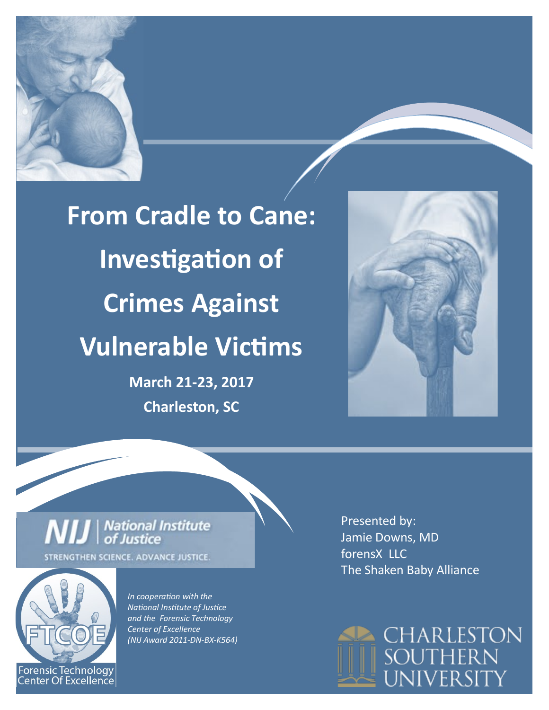

**From Cradle to Cane: Investigation of Crimes Against Vulnerable Victims March 21-23, 2017**

**Charleston, SC**



## **NIJ** | National Institute STRENGTHEN SCIENCE. ADVANCE JUSTICE.



*In cooperation with the National Institute of Justice and the Forensic Technology Center of Excellence (NIJ Award 2011-DN-BX-K564)* 

Presented by: Jamie Downs, MD forensX LLC The Shaken Baby Alliance

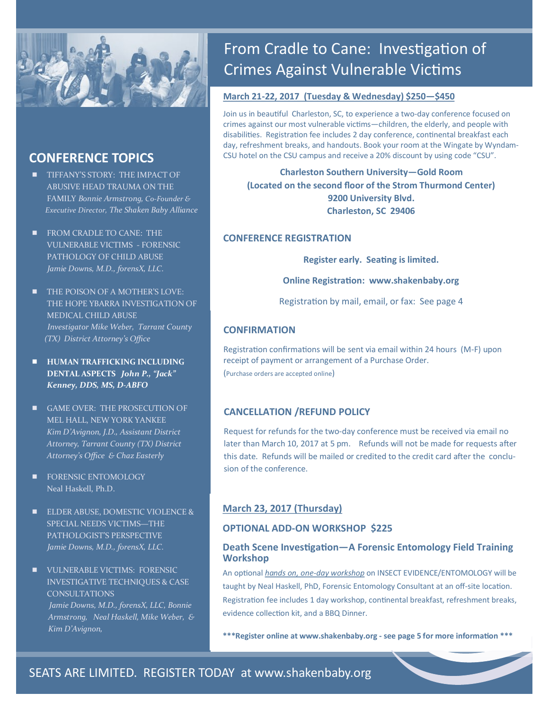

## **CONFERENCE TOPICS**

- **TIFFANY'S STORY: THE IMPACT OF** ABUSIVE HEAD TRAUMA ON THE FAMILY *Bonnie Armstrong, Co-Founder & Executive Director, The Shaken Baby Alliance*
- **FROM CRADLE TO CANE: THE** VULNERABLE VICTIMS - FORENSIC PATHOLOGY OF CHILD ABUSE *Jamie Downs, M.D., forensX, LLC.*
- **THE POISON OF A MOTHER'S LOVE:** THE HOPE YBARRA INVESTIGATION OF MEDICAL CHILD ABUSE *Investigator Mike Weber, Tarrant County (TX) District Attorney's Office*
- **HUMAN TRAFFICKING INCLUDING DENTAL ASPECTS** *John P., "Jack" Kenney, DDS, MS, D-ABFO*
- GAME OVER: THE PROSECUTION OF MEL HALL, NEW YORK YANKEE *Kim D'Avignon, J.D., Assistant District Attorney, Tarrant County (TX) District Attorney's Office & Chaz Easterly*
- **FORENSIC ENTOMOLOGY** Neal Haskell, Ph.D.
- **ELDER ABUSE, DOMESTIC VIOLENCE &** SPECIAL NEEDS VICTIMS—THE PATHOLOGIST'S PERSPECTIVE *Jamie Downs, M.D., forensX, LLC.*
- **ULINERABLE VICTIMS: FORENSIC** INVESTIGATIVE TECHNIQUES & CASE CONSULTATIONS *Jamie Downs, M.D., forensX, LLC, Bonnie Armstrong, Neal Haskell, Mike Weber, & Kim D'Avignon,*

## From Cradle to Cane: Investigation of Crimes Against Vulnerable Victims

#### **March 21-22, 2017 (Tuesday & Wednesday) \$250—\$450**

Join us in beautiful Charleston, SC, to experience a two-day conference focused on crimes against our most vulnerable victims—children, the elderly, and people with disabilities. Registration fee includes 2 day conference, continental breakfast each day, refreshment breaks, and handouts. Book your room at the Wingate by Wyndam-CSU hotel on the CSU campus and receive a 20% discount by using code "CSU".

**Charleston Southern University—Gold Room (Located on the second floor of the Strom Thurmond Center) 9200 University Blvd. Charleston, SC 29406**

#### **CONFERENCE REGISTRATION**

**Register early. Seating is limited.**

**Online Registration: www.shakenbaby.org** 

Registration by mail, email, or fax: See page 4

#### **CONFIRMATION**

Registration confirmations will be sent via email within 24 hours (M-F) upon receipt of payment or arrangement of a Purchase Order. (Purchase orders are accepted online)

#### **CANCELLATION /REFUND POLICY**

Request for refunds for the two-day conference must be received via email no later than March 10, 2017 at 5 pm. Refunds will not be made for requests after this date. Refunds will be mailed or credited to the credit card after the conclusion of the conference.

#### **March 23, 2017 (Thursday)**

#### **OPTIONAL ADD-ON WORKSHOP \$225**

#### **Death Scene Investigation—A Forensic Entomology Field Training Workshop**

An optional *hands on, one-day workshop* on INSECT EVIDENCE/ENTOMOLOGY will be taught by Neal Haskell, PhD, Forensic Entomology Consultant at an off-site location. Registration fee includes 1 day workshop, continental breakfast, refreshment breaks, evidence collection kit, and a BBQ Dinner.

**\*\*\*Register online at www.shakenbaby.org - see page 5 for more information \*\*\***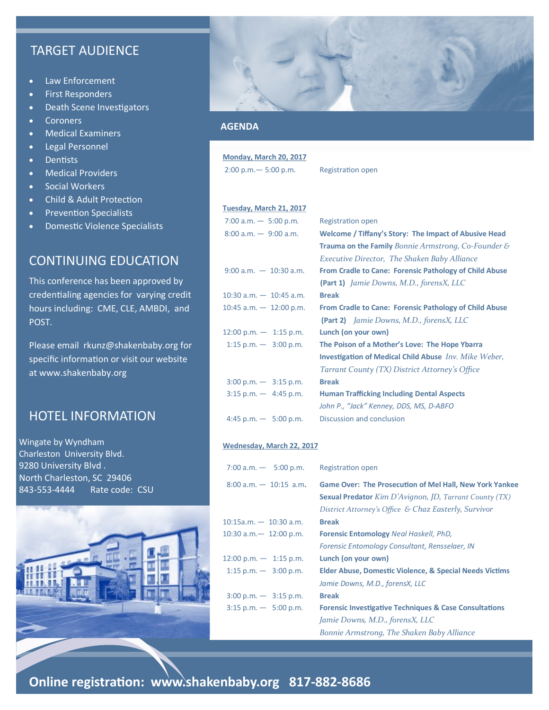## TARGET AUDIENCE

- Law Enforcement
- First Responders
- Death Scene Investigators
- Coroners
- Medical Examiners
- Legal Personnel
- Dentists
- Medical Providers
- Social Workers
- Child & Adult Protection
- **•** Prevention Specialists
- Domestic Violence Specialists

## CONTINUING EDUCATION

This conference has been approved by credentialing agencies for varying credit hours including: CME, CLE, AMBDI, and POST.

Please email rkunz@shakenbaby.org for specific information or visit our website at www.shakenbaby.org

## HOTEL INFORMATION

Wingate by Wyndham Charleston University Blvd. 9280 University Blvd . North Charleston, SC 29406 843-553-4444 Rate code: CSU





#### **AGENDA**

| Monday, March 20, 2017                  |                                                                        |
|-----------------------------------------|------------------------------------------------------------------------|
| $2:00$ p.m. $-5:00$ p.m.                | Registration open                                                      |
|                                         |                                                                        |
| Tuesday, March 21, 2017                 |                                                                        |
|                                         |                                                                        |
| 7:00 a.m. $-$ 5:00 p.m.                 | <b>Registration open</b>                                               |
| $8:00$ a.m. $-$ 9:00 a.m.               | Welcome / Tiffany's Story: The Impact of Abusive Head                  |
|                                         | <b>Trauma on the Family</b> Bonnie Armstrong, Co-Founder $\mathcal{E}$ |
|                                         | <b>Executive Director, The Shaken Baby Alliance</b>                    |
| $9:00$ a.m. $-10:30$ a.m.               | From Cradle to Cane: Forensic Pathology of Child Abuse                 |
|                                         |                                                                        |
|                                         | <b>(Part 1)</b> Jamie Downs, M.D., forensX, LLC                        |
| $10:30$ a.m. $-10:45$ a.m.              | <b>Break</b>                                                           |
| $10:45$ a.m. $-12:00$ p.m.              | From Cradle to Cane: Forensic Pathology of Child Abuse                 |
|                                         | (Part 2) Jamie Downs, M.D., forensX, LLC                               |
| $12:00$ p.m. $-1:15$ p.m.               | Lunch (on your own)                                                    |
| 1:15 p.m. $-3:00$ p.m.                  | The Poison of a Mother's Love: The Hope Ybarra                         |
|                                         | <b>Investigation of Medical Child Abuse</b> Inv. Mike Weber,           |
|                                         | Tarrant County (TX) District Attorney's Office                         |
| $3:00 \text{ p.m.} - 3:15 \text{ p.m.}$ | <b>Break</b>                                                           |
| $3:15$ p.m. $-4:45$ p.m.                | <b>Human Trafficking Including Dental Aspects</b>                      |
|                                         | John P., "Jack" Kenney, DDS, MS, D-ABFO                                |
| 4:45 p.m. $-$ 5:00 p.m.                 | Discussion and conclusion                                              |
|                                         |                                                                        |

#### **Wednesday, March 22, 2017**

| 7:00 a.m. $-$ 5:00 p.m.                 | Registration open                                                                                                                                                                         |
|-----------------------------------------|-------------------------------------------------------------------------------------------------------------------------------------------------------------------------------------------|
| $8:00$ a.m. $-10:15$ a.m.               | <b>Game Over: The Prosecution of Mel Hall, New York Yankee</b><br><b>Sexual Predator</b> Kim D'Avignon, JD, Tarrant County $(TX)$<br>District Attorney's Office & Chaz Easterly, Survivor |
| $10:15a.m. - 10:30 a.m.$                | <b>Break</b>                                                                                                                                                                              |
| 10:30 $a.m. - 12:00 p.m.$               | <b>Forensic Entomology Neal Haskell, PhD,</b>                                                                                                                                             |
|                                         | Forensic Entomology Consultant, Rensselaer, IN                                                                                                                                            |
| $12:00$ p.m. $-1:15$ p.m.               | Lunch (on your own)                                                                                                                                                                       |
| 1:15 p.m. $-3:00$ p.m.                  | <b>Elder Abuse, Domestic Violence, &amp; Special Needs Victims</b>                                                                                                                        |
|                                         | Jamie Downs, M.D., forensX, LLC                                                                                                                                                           |
| $3:00 \text{ p.m.} - 3:15 \text{ p.m.}$ | <b>Break</b>                                                                                                                                                                              |
| $3:15$ p.m. $-5:00$ p.m.                | <b>Forensic Investigative Techniques &amp; Case Consultations</b>                                                                                                                         |
|                                         | Jamie Downs, M.D., forensX, LLC                                                                                                                                                           |
|                                         | Bonnie Armstrong, The Shaken Baby Alliance                                                                                                                                                |

**Online registration: www.shakenbaby.org 817-882-8686**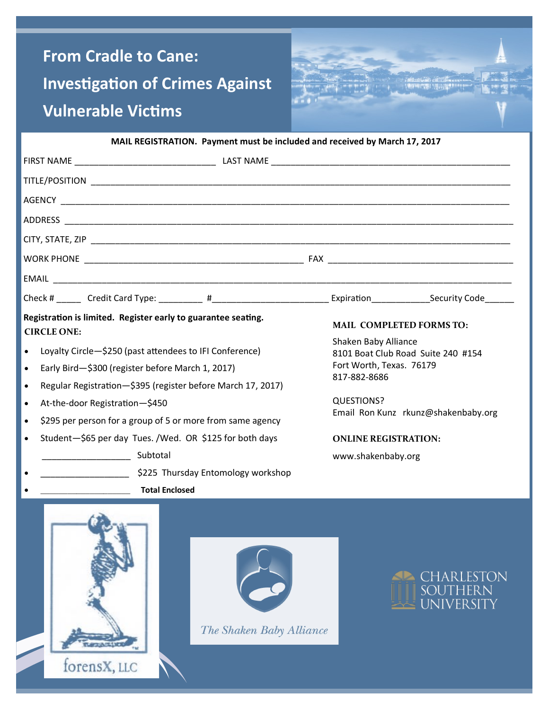# **From Cradle to Cane: Investigation of Crimes Against Vulnerable Victims**

forensX, LLC



**MAIL REGISTRATION. Payment must be included and received by March 17, 2017**

| Registration is limited. Register early to guarantee seating.<br>MAIL COMPLETED FORMS TO:                                                                                                                                                                                                                                                                                                                            |                                                                                                                                                                                                                         |  |  |  |  |
|----------------------------------------------------------------------------------------------------------------------------------------------------------------------------------------------------------------------------------------------------------------------------------------------------------------------------------------------------------------------------------------------------------------------|-------------------------------------------------------------------------------------------------------------------------------------------------------------------------------------------------------------------------|--|--|--|--|
| <b>CIRCLE ONE:</b><br>Loyalty Circle-\$250 (past attendees to IFI Conference)<br>$\bullet$<br>Early Bird-\$300 (register before March 1, 2017)<br>$\bullet$<br>Regular Registration-\$395 (register before March 17, 2017)<br>٠<br>At-the-door Registration-\$450<br>$\bullet$<br>\$295 per person for a group of 5 or more from same agency<br>$\bullet$<br>Student-\$65 per day Tues. /Wed. OR \$125 for both days | Shaken Baby Alliance<br>8101 Boat Club Road Suite 240 #154<br>Fort Worth, Texas. 76179<br>817-882-8686<br><b>QUESTIONS?</b><br>Email Ron Kunz rkunz@shakenbaby.org<br><b>ONLINE REGISTRATION:</b><br>www.shakenbaby.org |  |  |  |  |
| S225 Thursday Entomology workshop                                                                                                                                                                                                                                                                                                                                                                                    |                                                                                                                                                                                                                         |  |  |  |  |
| <b>Total Enclosed</b>                                                                                                                                                                                                                                                                                                                                                                                                |                                                                                                                                                                                                                         |  |  |  |  |
| The Shaken Baby Alliance                                                                                                                                                                                                                                                                                                                                                                                             | <b>CHARLESTON</b><br><b>SOUTHERN</b><br><b>UNIVERSITY</b>                                                                                                                                                               |  |  |  |  |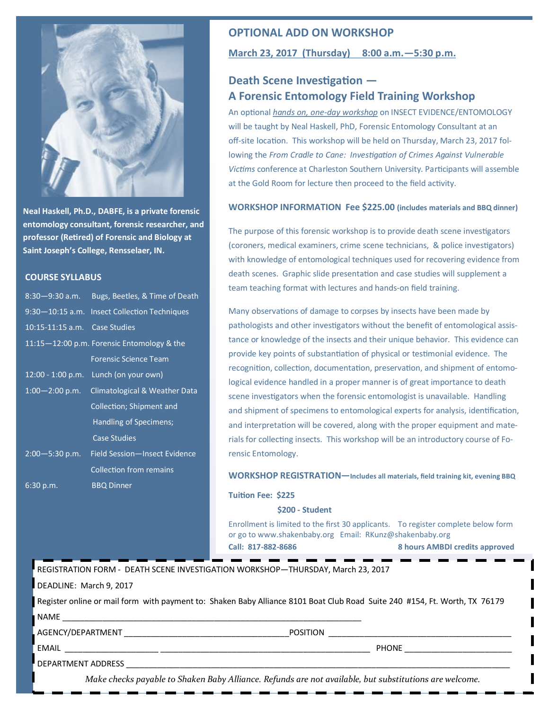

**Neal Haskell, Ph.D., DABFE, is a private forensic entomology consultant, forensic researcher, and professor (Retired) of Forensic and Biology at Saint Joseph's College, Rensselaer, IN.**

#### **COURSE SYLLABUS**

| $8:30 - 9:30$ a.m.            | Bugs, Beetles, & Time of Death               |
|-------------------------------|----------------------------------------------|
|                               | 9:30-10:15 a.m. Insect Collection Techniques |
| 10:15-11:15 a.m. Case Studies |                                              |
|                               | 11:15-12:00 p.m. Forensic Entomology & the   |
|                               | <b>Forensic Science Team</b>                 |
|                               | 12:00 - 1:00 p.m. Lunch (on your own)        |
| $1:00-2:00$ p.m.              | <b>Climatological &amp; Weather Data</b>     |
|                               | Collection; Shipment and                     |
|                               | Handling of Specimens;                       |
|                               | <b>Case Studies</b>                          |
| $2:00 - 5:30$ p.m.            | Field Session-Insect Evidence                |
|                               | <b>Collection from remains</b>               |
| $6:30$ p.m.                   | <b>BBQ Dinner</b>                            |
|                               |                                              |

#### **OPTIONAL ADD ON WORKSHOP**

#### **March 23, 2017 (Thursday) 8:00 a.m.—5:30 p.m.**

### **Death Scene Investigation — A Forensic Entomology Field Training Workshop**

An optional *hands on, one-day workshop* on INSECT EVIDENCE/ENTOMOLOGY will be taught by Neal Haskell, PhD, Forensic Entomology Consultant at an off-site location. This workshop will be held on Thursday, March 23, 2017 following the *From Cradle to Cane: Investigation of Crimes Against Vulnerable Victims* conference at Charleston Southern University. Participants will assemble at the Gold Room for lecture then proceed to the field activity.

#### **WORKSHOP INFORMATION Fee \$225.00 (includes materials and BBQ dinner)**

The purpose of this forensic workshop is to provide death scene investigators (coroners, medical examiners, crime scene technicians, & police investigators) with knowledge of entomological techniques used for recovering evidence from death scenes. Graphic slide presentation and case studies will supplement a team teaching format with lectures and hands-on field training.

Many observations of damage to corpses by insects have been made by pathologists and other investigators without the benefit of entomological assistance or knowledge of the insects and their unique behavior. This evidence can provide key points of substantiation of physical or testimonial evidence. The recognition, collection, documentation, preservation, and shipment of entomological evidence handled in a proper manner is of great importance to death scene investigators when the forensic entomologist is unavailable. Handling and shipment of specimens to entomological experts for analysis, identification, and interpretation will be covered, along with the proper equipment and materials for collecting insects. This workshop will be an introductory course of Forensic Entomology.

#### **WORKSHOP REGISTRATION—Includes all materials, field training kit, evening BBQ**

**Tuition Fee: \$225** 

#### **\$200 - Student**

Enrollment is limited to the first 30 applicants. To register complete below form or go to www.shakenbaby.org Email: RKunz@shakenbaby.org **Call: 817-882-8686 8 hours AMBDI credits approved** 

| REGISTRATION FORM - DEATH SCENE INVESTIGATION WORKSHOP—THURSDAY, March 23, 2017 -                                          |              |  |  |  |
|----------------------------------------------------------------------------------------------------------------------------|--------------|--|--|--|
| DEADLINE: March 9, 2017                                                                                                    |              |  |  |  |
| Register online or mail form with payment to: Shaken Baby Alliance 8101 Boat Club Road Suite 240 #154, Ft. Worth, TX 76179 |              |  |  |  |
|                                                                                                                            |              |  |  |  |
| <b>AGENCY/DEPARTMENT AGENCY</b>                                                                                            | POSITION     |  |  |  |
|                                                                                                                            | <b>PHONE</b> |  |  |  |
| DEPARTMENT ADDRESS                                                                                                         |              |  |  |  |
| Make checks payable to Shaken Baby Alliance. Refunds are not available, but substitutions are welcome.                     |              |  |  |  |